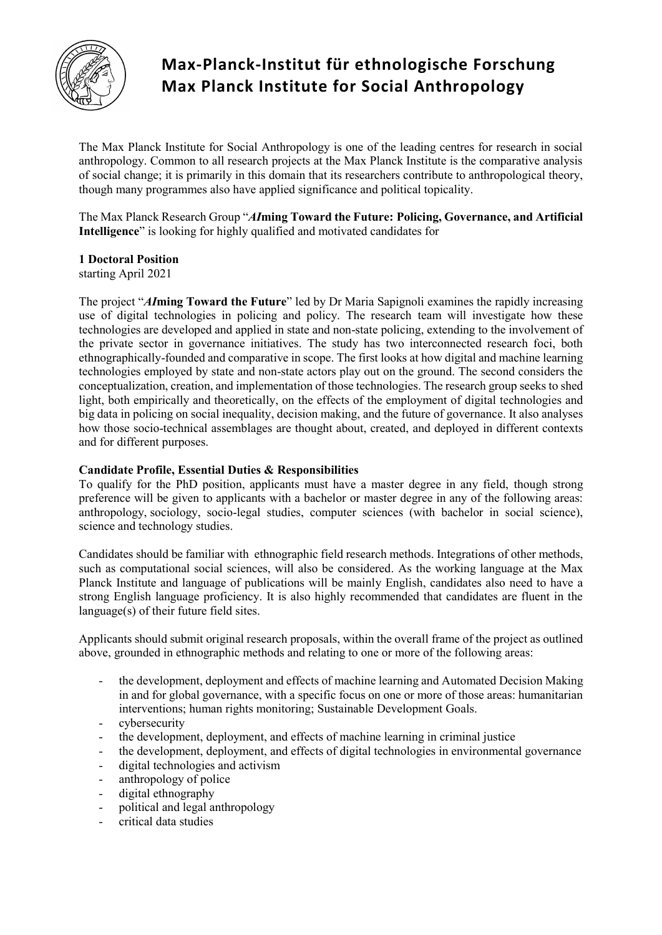

# **Max-Planck-Institut für ethnologische Forschung Max Planck Institute for Social Anthropology**

The Max Planck Institute for Social Anthropology is one of the leading centres for research in social anthropology. Common to all research projects at the Max Planck Institute is the comparative analysis of social change; it is primarily in this domain that its researchers contribute to anthropological theory, though many programmes also have applied significance and political topicality.

The Max Planck Research Group "*AI***ming Toward the Future: Policing, Governance, and Artificial Intelligence**" is looking for highly qualified and motivated candidates for

## **1 Doctoral Position**

starting April 2021

The project "*AI***ming Toward the Future**" led by Dr Maria Sapignoli examines the rapidly increasing use of digital technologies in policing and policy. The research team will investigate how these technologies are developed and applied in state and non-state policing, extending to the involvement of the private sector in governance initiatives. The study has two interconnected research foci, both ethnographically-founded and comparative in scope. The first looks at how digital and machine learning technologies employed by state and non-state actors play out on the ground. The second considers the conceptualization, creation, and implementation of those technologies. The research group seeks to shed light, both empirically and theoretically, on the effects of the employment of digital technologies and big data in policing on social inequality, decision making, and the future of governance. It also analyses how those socio-technical assemblages are thought about, created, and deployed in different contexts and for different purposes.

### **Candidate Profile, Essential Duties & Responsibilities**

To qualify for the PhD position, applicants must have a master degree in any field, though strong preference will be given to applicants with a bachelor or master degree in any of the following areas: anthropology, sociology, socio-legal studies, computer sciences (with bachelor in social science), science and technology studies.

Candidates should be familiar with ethnographic field research methods. Integrations of other methods, such as computational social sciences, will also be considered. As the working language at the Max Planck Institute and language of publications will be mainly English, candidates also need to have a strong English language proficiency. It is also highly recommended that candidates are fluent in the language(s) of their future field sites.

Applicants should submit original research proposals, within the overall frame of the project as outlined above, grounded in ethnographic methods and relating to one or more of the following areas:

- the development, deployment and effects of machine learning and Automated Decision Making in and for global governance, with a specific focus on one or more of those areas: humanitarian interventions; human rights monitoring; Sustainable Development Goals.
- cybersecurity
- the development, deployment, and effects of machine learning in criminal justice
- the development, deployment, and effects of digital technologies in environmental governance
- digital technologies and activism
- anthropology of police
- digital ethnography
- political and legal anthropology
- critical data studies